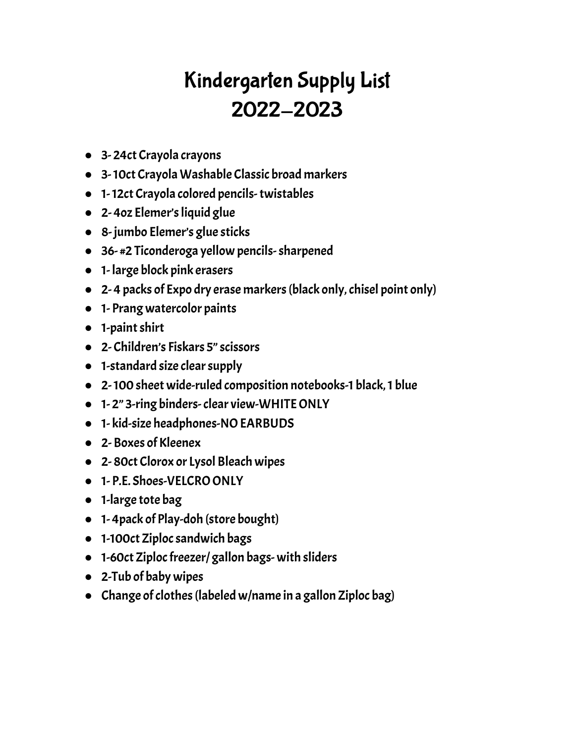# Kindergarten Supply List 2022-2023

- 3- 24ct Crayola crayons
- 3-10ct CrayolaWashable Classic broad markers
- 1-12ct Crayola colored pencils-twistables
- 2- 4oz Elemer'sliquid glue
- 8- jumbo Elemer's glue sticks
- 36- #2 Ticonderoga yellow pencils-sharpened
- 1- large block pink erasers
- 2- 4 packs of Expo dry erase markers(black only,chisel point only)
- 1- Prang watercolor paints
- 1-paintshirt
- 2- Children's Fiskars 5"scissors
- 1-standard size clearsupply
- 2-100 sheet wide-ruled composition notebooks-1 black,1 blue
- 1- 2" 3-ring binders-clear view-WHITEONLY
- 1- kid-size headphones-NOEARBUDS
- 2- Boxes of Kleenex
- 2-80ct Clorox or Lysol Bleach wipes
- 1- P.E. Shoes-VELCRO ONLY
- 1-large tote bag
- 1- 4pack of Play-doh (store bought)
- 1-100ct Ziploc sandwich bags
- 1-60ct Ziploc freezer/ gallon bags- with sliders
- 2-Tub of baby wipes
- Change of clothes (labeled w/name in a gallon Ziploc bag)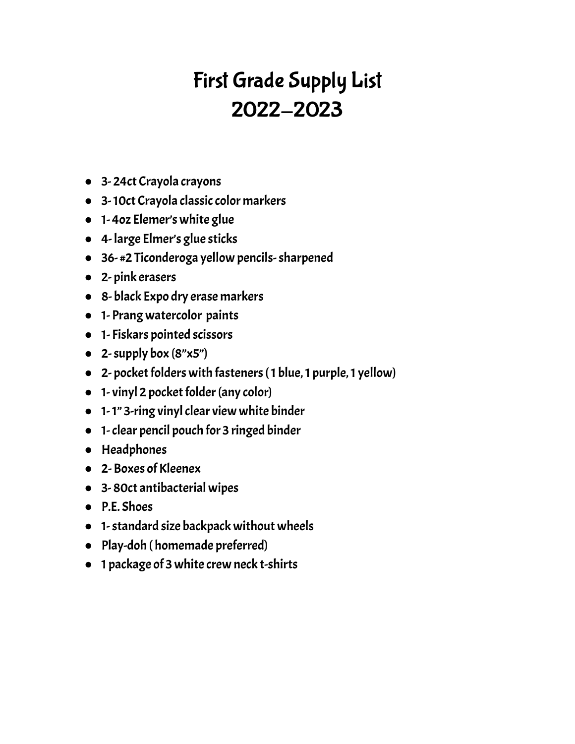# First Grade Supply List 2022-2023

- 3- 24ct Crayola crayons
- 3-10ct Crayola classic color markers
- 1- 4oz Elemer's white glue
- 4- large Elmer's glue sticks
- 36- #2 Ticonderoga yellow pencils-sharpened
- 2- pink erasers
- 8- black Expo dry erase markers
- 1- Prang watercolor paints
- 1- Fiskars pointed scissors
- $\bullet$  2-supply box  $(8"x5")$
- 2- pocket folders with fasteners (1 blue, 1 purple, 1 yellow)
- $\bullet$  1- vinyl 2 pocket folder (any color)
- 1-1" 3-ring vinyl clear view white binder
- 1-clear pencil pouch for 3 ringed binder
- Headphones
- 2- Boxes of Kleenex
- 3- 80ct antibacterial wipes
- P.E. Shoes
- 1-standard size backpack without wheels
- Play-doh ( homemade preferred)
- 1 package of 3 white crew neck t-shirts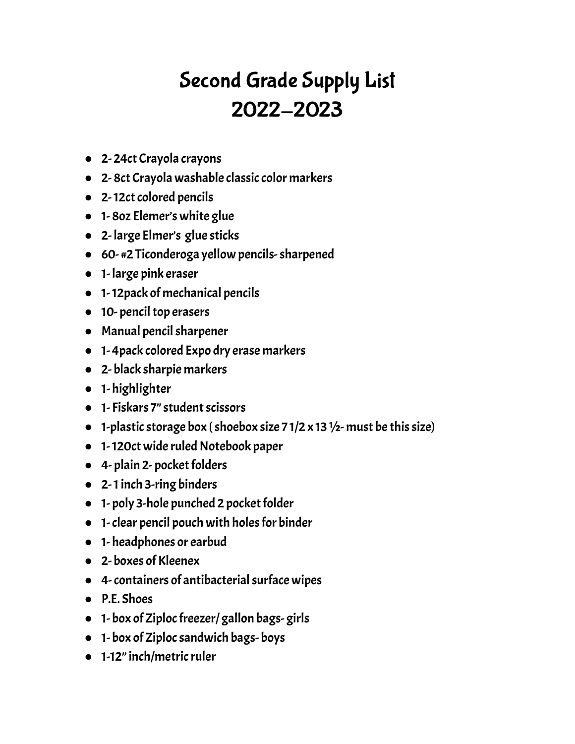# Second Grade Supply List 2022-2023

- 2- 24ct Crayola crayons
- 2- 8ct Crayola washable classic color markers
- 2-12ct colored pencils
- 1- 8oz Elemer's white glue
- 2- large Elmer's glue sticks
- 60- #2 Ticonderoga yellow pencils-sharpened
- 1- large pink eraser
- 1-12pack of mechanical pencils
- $\bullet$  10- pencil top erasers
- Manual pencil sharpener
- 1- 4pack colored Expo dry erase markers
- 2- black sharpie markers
- 1- highlighter
- 1- Fiskars 7" student scissors
- $\bullet$  1-plastic storage box (shoebox size 71/2 x 13 1/2- must be this size)
- 1-120ct wide ruled Notebook paper
- $\bullet$  4- plain 2- pocket folders
- 2-1inch 3-ring binders
- $\bullet$  1- poly 3-hole punched 2 pocket folder
- 1- clear pencil pouch with holes for binder
- 1- headphones or earbud
- 2- boxes of Kleenex
- 4- containers of antibacterial surface wipes
- P.E. Shoes
- 1- box of Ziploc freezer/ gallon bags-girls
- 1- box of Ziplocsandwich bags- boys
- 1-12" inch/metric ruler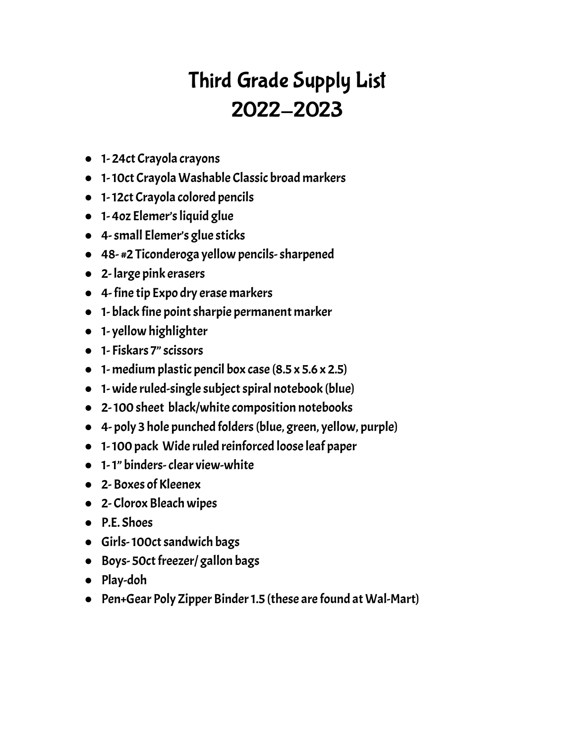# Third Grade Supply List 2022-2023

- 1-24ct Crayola crayons
- 1-10ct CrayolaWashable Classic broad markers
- 1-12ct Crayola colored pencils
- 1- 4oz Elemer'sliquid glue
- 4-small Elemer's glue sticks
- 48- #2 Ticonderoga yellow pencils-sharpened
- 2- large pink erasers
- 4- fine tip Expo dry erase markers
- 1- black fine point sharpie permanent marker
- 1- yellow highlighter
- 1- Fiskars 7"scissors
- $\bullet$  1- medium plastic pencil box case (8.5 x 5.6 x 2.5)
- 1- wide ruled-single subject spiral notebook (blue)
- 2-100 sheet black/white composition notebooks
- 4- poly 3 hole punched folders(blue, green, yellow, purple)
- 1-100 pack Wide ruled reinforced loose leaf paper
- 1-1" binders-clear view-white
- 2- Boxes of Kleenex
- 2- Clorox Bleach wipes
- P.E. Shoes
- Girls-100ct sandwich bags
- Boys-50ct freezer/ gallon bags
- Play-doh
- Pen+Gear Poly Zipper Binder 1.5 (these are found at Wal-Mart)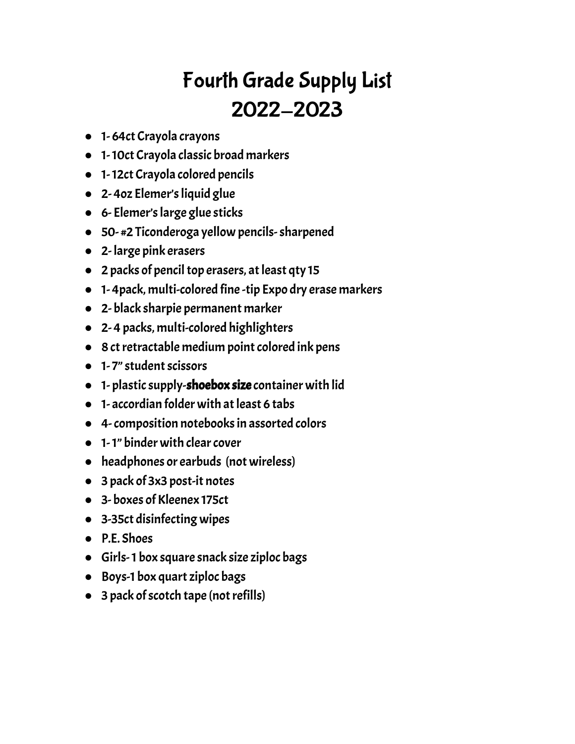# Fourth Grade Supply List 2022-2023

- 1- 64ct Crayola crayons
- 1-10ct Crayola classic broad markers
- 1-12ct Crayola colored pencils
- 2- 4oz Elemer'sliquid glue
- 6- Elemer'slarge glue sticks
- 50- #2 Ticonderoga yellow pencils-sharpened
- 2- large pink erasers
- 2 packs of pencil top erasers, at least qty 15
- 1- 4pack, multi-colored fine -tip Expo dry erase markers
- 2- black sharpie permanent marker
- 2- 4 packs, multi-colored highlighters
- 8 ct retractable medium point colored ink pens
- 1-7" student scissors
- 1- plasticsupply-shoebox size container with lid
- $\bullet$  1- accordian folder with at least 6 tabs
- 4-composition notebooksin assorted colors
- 1-1" binder with clear cover
- headphones or earbuds (not wireless)
- 3 pack of 3x3 post-it notes
- 3- boxes of Kleenex 175ct
- 3-35ct disinfecting wipes
- P.E. Shoes
- Girls-1 box square snack size ziploc bags
- Boys-1 box quart ziploc bags
- $\bullet$  3 pack of scotch tape (not refills)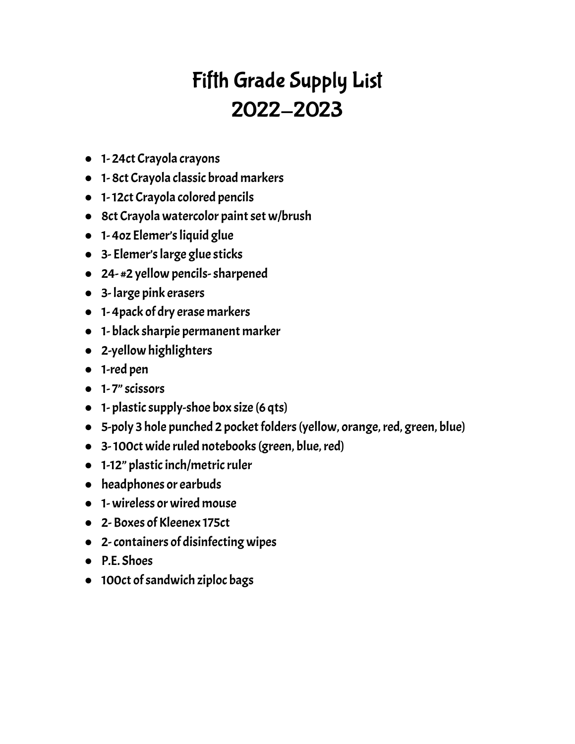# Fifth Grade Supply List 2022-2023

- 1- 24ct Crayola crayons
- 1- 8ct Crayola classic broad markers
- 1-12ct Crayola colored pencils
- 8ct Crayola watercolor paint set w/brush
- 1- 4oz Elemer'sliquid glue
- 3- Elemer'slarge glue sticks
- 24- #2 yellow pencils-sharpened
- 3- large pink erasers
- 1- 4pack of dry erase markers
- 1- black sharpie permanent marker
- 2-yellow highlighters
- 1-red pen
- 1- 7"scissors
- $\bullet$  1- plastic supply-shoe box size (6 qts)
- 5-poly 3 hole punched 2 pocket folders (yellow, orange, red, green, blue)
- 3-100ct wide ruled notebooks(green, blue,red)
- 1-12" plastic inch/metric ruler
- headphones or earbuds
- 1- wireless or wired mouse
- 2- Boxes of Kleenex 175ct
- 2-containers of disinfecting wipes
- P.E. Shoes
- 100ct of sandwich ziploc bags